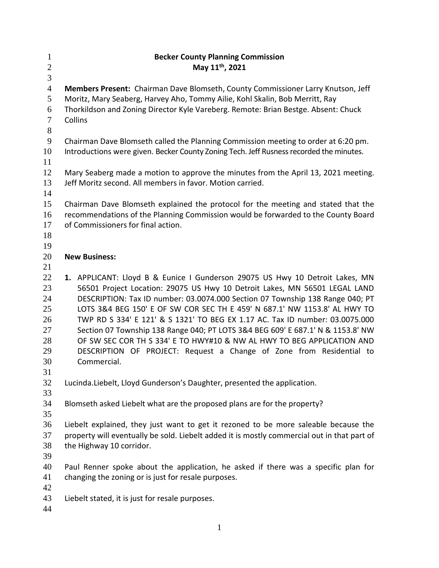| $\mathbf{1}$   | <b>Becker County Planning Commission</b>                                                    |
|----------------|---------------------------------------------------------------------------------------------|
| $\overline{2}$ | May 11 <sup>th</sup> , 2021                                                                 |
| 3              |                                                                                             |
| $\overline{4}$ | Members Present: Chairman Dave Blomseth, County Commissioner Larry Knutson, Jeff            |
| 5              | Moritz, Mary Seaberg, Harvey Aho, Tommy Ailie, Kohl Skalin, Bob Merritt, Ray                |
| 6              | Thorkildson and Zoning Director Kyle Vareberg. Remote: Brian Bestge. Absent: Chuck          |
| $\tau$         | Collins                                                                                     |
| 8              |                                                                                             |
| 9              | Chairman Dave Blomseth called the Planning Commission meeting to order at 6:20 pm.          |
| 10             | Introductions were given. Becker County Zoning Tech. Jeff Rusness recorded the minutes.     |
| 11             |                                                                                             |
| 12             | Mary Seaberg made a motion to approve the minutes from the April 13, 2021 meeting.          |
| 13             | Jeff Moritz second. All members in favor. Motion carried.                                   |
| 14             |                                                                                             |
| 15             | Chairman Dave Blomseth explained the protocol for the meeting and stated that the           |
| 16             | recommendations of the Planning Commission would be forwarded to the County Board           |
| 17             | of Commissioners for final action.                                                          |
| 18             |                                                                                             |
| 19             |                                                                                             |
| 20             | <b>New Business:</b>                                                                        |
| 21             |                                                                                             |
| 22             | 1. APPLICANT: Lloyd B & Eunice I Gunderson 29075 US Hwy 10 Detroit Lakes, MN                |
| 23             | 56501 Project Location: 29075 US Hwy 10 Detroit Lakes, MN 56501 LEGAL LAND                  |
| 24             | DESCRIPTION: Tax ID number: 03.0074.000 Section 07 Township 138 Range 040; PT               |
| 25             | LOTS 3&4 BEG 150' E OF SW COR SEC TH E 459' N 687.1' NW 1153.8' AL HWY TO                   |
| 26             | TWP RD S 334' E 121' & S 1321' TO BEG EX 1.17 AC. Tax ID number: 03.0075.000                |
| 27             | Section 07 Township 138 Range 040; PT LOTS 3&4 BEG 609' E 687.1' N & 1153.8' NW             |
| 28             | OF SW SEC COR TH S 334' E TO HWY#10 & NW AL HWY TO BEG APPLICATION AND                      |
| 29             | DESCRIPTION OF PROJECT: Request a Change of Zone from Residential to                        |
| 30             | Commercial.                                                                                 |
| 31             |                                                                                             |
| 32             | Lucinda.Liebelt, Lloyd Gunderson's Daughter, presented the application.                     |
| 33             |                                                                                             |
| 34             | Blomseth asked Liebelt what are the proposed plans are for the property?                    |
| 35             |                                                                                             |
| 36             | Liebelt explained, they just want to get it rezoned to be more saleable because the         |
| 37             | property will eventually be sold. Liebelt added it is mostly commercial out in that part of |
| 38             | the Highway 10 corridor.                                                                    |
| 39             |                                                                                             |
| 40             | Paul Renner spoke about the application, he asked if there was a specific plan for          |
| 41             | changing the zoning or is just for resale purposes.                                         |
| 42             |                                                                                             |
| 43             | Liebelt stated, it is just for resale purposes.                                             |
| 44             |                                                                                             |
|                |                                                                                             |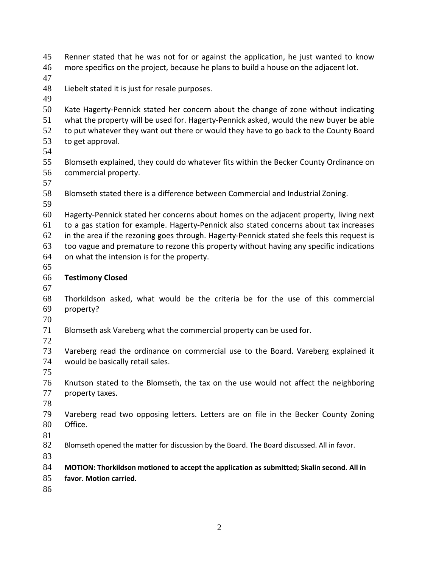Renner stated that he was not for or against the application, he just wanted to know more specifics on the project, because he plans to build a house on the adjacent lot.

Liebelt stated it is just for resale purposes.

 Kate Hagerty-Pennick stated her concern about the change of zone without indicating what the property will be used for. Hagerty-Pennick asked, would the new buyer be able to put whatever they want out there or would they have to go back to the County Board to get approval.

 Blomseth explained, they could do whatever fits within the Becker County Ordinance on commercial property.

Blomseth stated there is a difference between Commercial and Industrial Zoning.

 Hagerty-Pennick stated her concerns about homes on the adjacent property, living next to a gas station for example. Hagerty-Pennick also stated concerns about tax increases in the area if the rezoning goes through. Hagerty-Pennick stated she feels this request is too vague and premature to rezone this property without having any specific indications on what the intension is for the property.

# **Testimony Closed**

 Thorkildson asked, what would be the criteria be for the use of this commercial property?

 Blomseth ask Vareberg what the commercial property can be used for. 

 Vareberg read the ordinance on commercial use to the Board. Vareberg explained it would be basically retail sales.

 Knutson stated to the Blomseth, the tax on the use would not affect the neighboring property taxes.

 Vareberg read two opposing letters. Letters are on file in the Becker County Zoning Office.

82 Blomseth opened the matter for discussion by the Board. The Board discussed. All in favor.

**MOTION: Thorkildson motioned to accept the application as submitted; Skalin second. All in** 

**favor. Motion carried.**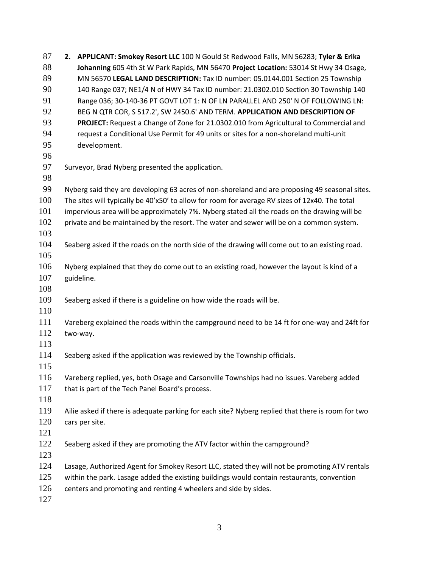| 87  | 2. APPLICANT: Smokey Resort LLC 100 N Gould St Redwood Falls, MN 56283; Tyler & Erika             |  |  |
|-----|---------------------------------------------------------------------------------------------------|--|--|
| 88  | Johanning 605 4th St W Park Rapids, MN 56470 Project Location: 53014 St Hwy 34 Osage,             |  |  |
| 89  | MN 56570 LEGAL LAND DESCRIPTION: Tax ID number: 05.0144.001 Section 25 Township                   |  |  |
| 90  | 140 Range 037; NE1/4 N of HWY 34 Tax ID number: 21.0302.010 Section 30 Township 140               |  |  |
| 91  | Range 036; 30-140-36 PT GOVT LOT 1: N OF LN PARALLEL AND 250' N OF FOLLOWING LN:                  |  |  |
| 92  | BEG N QTR COR, S 517.2', SW 2450.6' AND TERM. APPLICATION AND DESCRIPTION OF                      |  |  |
| 93  | PROJECT: Request a Change of Zone for 21.0302.010 from Agricultural to Commercial and             |  |  |
| 94  | request a Conditional Use Permit for 49 units or sites for a non-shoreland multi-unit             |  |  |
| 95  | development.                                                                                      |  |  |
| 96  |                                                                                                   |  |  |
| 97  | Surveyor, Brad Nyberg presented the application.                                                  |  |  |
| 98  |                                                                                                   |  |  |
| 99  | Nyberg said they are developing 63 acres of non-shoreland and are proposing 49 seasonal sites.    |  |  |
| 100 | The sites will typically be 40'x50' to allow for room for average RV sizes of 12x40. The total    |  |  |
| 101 | impervious area will be approximately 7%. Nyberg stated all the roads on the drawing will be      |  |  |
| 102 | private and be maintained by the resort. The water and sewer will be on a common system.          |  |  |
| 103 |                                                                                                   |  |  |
| 104 | Seaberg asked if the roads on the north side of the drawing will come out to an existing road.    |  |  |
| 105 |                                                                                                   |  |  |
| 106 | Nyberg explained that they do come out to an existing road, however the layout is kind of a       |  |  |
| 107 | guideline.                                                                                        |  |  |
| 108 |                                                                                                   |  |  |
| 109 | Seaberg asked if there is a guideline on how wide the roads will be.                              |  |  |
| 110 |                                                                                                   |  |  |
| 111 | Vareberg explained the roads within the campground need to be 14 ft for one-way and 24ft for      |  |  |
| 112 | two-way.                                                                                          |  |  |
| 113 |                                                                                                   |  |  |
| 114 | Seaberg asked if the application was reviewed by the Township officials.                          |  |  |
| 115 |                                                                                                   |  |  |
| 116 | Vareberg replied, yes, both Osage and Carsonville Townships had no issues. Vareberg added         |  |  |
| 117 | that is part of the Tech Panel Board's process.                                                   |  |  |
| 118 |                                                                                                   |  |  |
| 119 | Ailie asked if there is adequate parking for each site? Nyberg replied that there is room for two |  |  |
| 120 | cars per site.                                                                                    |  |  |
| 121 |                                                                                                   |  |  |
| 122 | Seaberg asked if they are promoting the ATV factor within the campground?                         |  |  |
| 123 |                                                                                                   |  |  |
| 124 | Lasage, Authorized Agent for Smokey Resort LLC, stated they will not be promoting ATV rentals     |  |  |
| 125 | within the park. Lasage added the existing buildings would contain restaurants, convention        |  |  |
| 126 | centers and promoting and renting 4 wheelers and side by sides.                                   |  |  |
| 127 |                                                                                                   |  |  |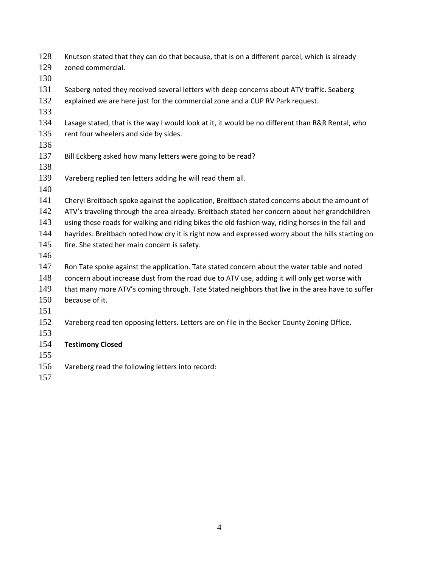| 128 | Knutson stated that they can do that because, that is on a different parcel, which is already     |  |
|-----|---------------------------------------------------------------------------------------------------|--|
| 129 | zoned commercial.                                                                                 |  |
| 130 |                                                                                                   |  |
| 131 | Seaberg noted they received several letters with deep concerns about ATV traffic. Seaberg         |  |
| 132 | explained we are here just for the commercial zone and a CUP RV Park request.                     |  |
| 133 |                                                                                                   |  |
| 134 | Lasage stated, that is the way I would look at it, it would be no different than R&R Rental, who  |  |
| 135 | rent four wheelers and side by sides.                                                             |  |
| 136 |                                                                                                   |  |
| 137 | Bill Eckberg asked how many letters were going to be read?                                        |  |
| 138 |                                                                                                   |  |
| 139 | Vareberg replied ten letters adding he will read them all.                                        |  |
| 140 |                                                                                                   |  |
| 141 | Cheryl Breitbach spoke against the application, Breitbach stated concerns about the amount of     |  |
| 142 | ATV's traveling through the area already. Breitbach stated her concern about her grandchildren    |  |
| 143 | using these roads for walking and riding bikes the old fashion way, riding horses in the fall and |  |
| 144 | hayrides. Breitbach noted how dry it is right now and expressed worry about the hills starting on |  |
| 145 | fire. She stated her main concern is safety.                                                      |  |
| 146 |                                                                                                   |  |
| 147 | Ron Tate spoke against the application. Tate stated concern about the water table and noted       |  |
| 148 | concern about increase dust from the road due to ATV use, adding it will only get worse with      |  |
| 149 | that many more ATV's coming through. Tate Stated neighbors that live in the area have to suffer   |  |
| 150 | because of it.                                                                                    |  |
| 151 |                                                                                                   |  |
| 152 | Vareberg read ten opposing letters. Letters are on file in the Becker County Zoning Office.       |  |
| 153 |                                                                                                   |  |
| 154 | <b>Testimony Closed</b>                                                                           |  |
| 155 |                                                                                                   |  |
| 156 | Vareberg read the following letters into record:                                                  |  |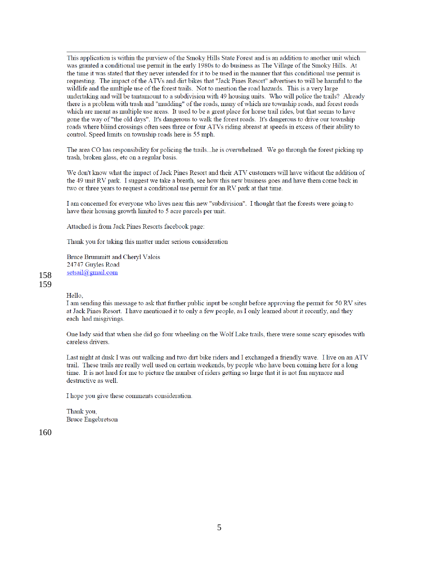This application is within the purview of the Smoky Hills State Forest and is an addition to another unit which was granted a conditional use permit in the early 1980s to do business as The Village of the Smoky Hills. At the time it was stated that they never intended for it to be used in the manner that this conditional use permit is requesting. The impact of the ATVs and dirt bikes that "Jack Pines Resort" advertises to will be harmful to the wildlife and the multiple use of the forest trails. Not to mention the road hazards. This is a very large undertaking and will be tantamount to a subdivision with 49 housing units. Who will police the trails? Already there is a problem with trash and "mudding" of the roads, many of which are township roads, and forest roads which are meant as multiple use areas. It used to be a great place for horse trail rides, but that seems to have gone the way of "the old days". It's dangerous to walk the forest roads. It's dangerous to drive our township roads where bliind crossings often sees three or four ATVs riding abreast at speeds in excess of their ability to control. Speed limits on township roads here is 55 mph.

The area CO has responsibility for policing the trails...he is overwhelmed. We go through the forest picking up trash, broken glass, etc on a regular basis.

We don't know what the impact of Jack Pines Resort and their ATV customers will have without the addition of the 49 unit RV park. I suggest we take a breath, see how this new business goes and have them come back in two or three years to request a conditional use permit for an RV park at that time.

I am concerned for everyone who lives near this new "subdivision". I thought that the forests were going to have their housing growth limited to 5 acre parcels per unit.

Attached is from Jack Pines Resorts facebook page:

Thank you for taking this matter under serious consideration

Bruce Brummitt and Cheryl Valois 24747 Guyles Road setsail@gmail.com

158 159

Hello.

I am sending this message to ask that further public input be sought before approving the permit for 50 RV sites at Jack Pines Resort. I have mentioned it to only a few people, as I only learned about it recently, and they each had misgivings.

One lady said that when she did go four wheeling on the Wolf Lake trails, there were some scary episodes with careless drivers.

Last night at dusk I was out walking and two dirt bike riders and I exchanged a friendly wave. I live on an ATV trail. These trails are really well used on certain weekends, by people who have been coming here for a long time. It is not hard for me to picture the number of riders getting so large that it is not fun anymore and destructive as well.

I hope you give these comments consideration.

Thank you, **Bruce Engebretson**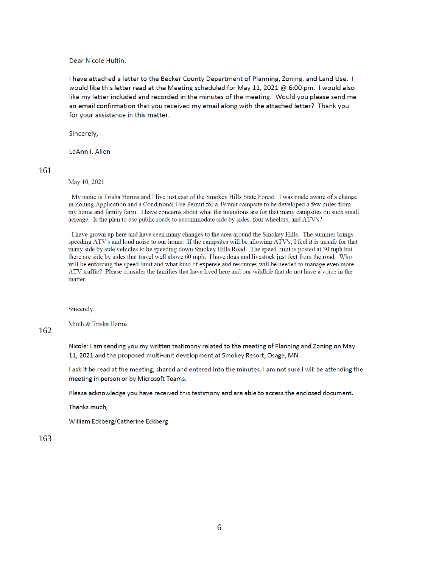Dear Nicole Hultin.

I have attached a letter to the Becker County Department of Planning, Zoning, and Land Use. I would like this letter read at the Meeting scheduled for May 11, 2021 @ 6:00 pm. I would also like my letter included and recorded in the minutes of the meeting. Would you please send me an email confirmation that you received my email along with the attached letter? Thank you for your assistance in this matter.

Sincerely,

LeAnn I. Allen

#### 161

May 10, 2021

My name is Trisha Harms and I live just east of the Smokey Hills State Forest. I was made aware of a change in Zoning Application and a Conditional Use Permit for a 49 unit campsite to be developed a few miles from my home and family farm. I have concerns about what the intentions are for that many campsites on such small acreage. Is the plan to use public roads to accommodate side by sides, four wheelers, and ATV's?

I have grown up here and have seen many changes to the area around the Smokey Hills. The summer brings speeding ATV's and loud noise to our home. If the campsites will be allowing ATV's, I feel it is unsafe for that many side by side vehicles to be speeding down Smokey Hills Road. The speed limit is posted at 30 mph but there are side by sides that travel well above 60 mph. I have dogs and livestock just feet from the road. Who will be enforcing the speed limit and what kind of expense and resources will be needed to manage even more ATV traffic? Please consider the families that have lived here and our wildlife that do not have a voice in the matter.

Sincerely,

Mitch & Trisha Harms

### 162

Nicole: I am sending you my written testimony related to the meeting of Planning and Zoning on May 11, 2021 and the proposed multi-unit development at Smokey Resort, Osage, MN.

I ask it be read at the meeting, shared and entered into the minutes. I am not sure I will be attending the meeting in person or by Microsoft Teams.

Please acknowledge you have received this testimony and are able to access the enclosed document.

Thanks much,

William Eckberg/Catherine Eckberg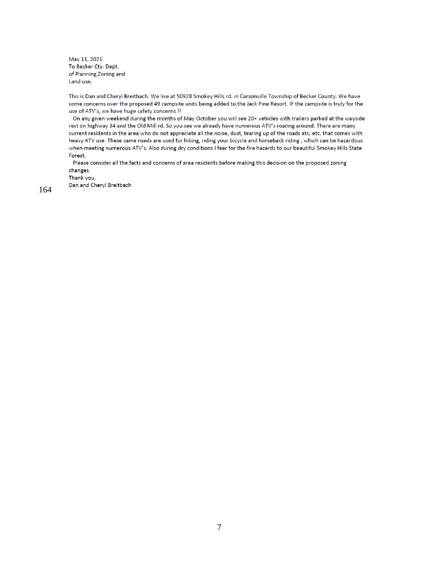May 11, 2021 To Becker Cty. Dept. of Planning, Zoning and Land use.

This is Dan and Cheryl Breitbach. We live at 50928 Smokey Hills rd. in Carsonville Township of Becker County. We have some concerns over the proposed 49 campsite units being added to the Jack Pine Resort. IF the campsite is truly for the use of ATV's, we have huge safety concerns !!

On any given weekend during the months of May-October you will see 20+ vehicles with trailers parked at the wayside rest on highway 34 and the Old Mill rd. So you see we already have numerous ATV's roaring around. There are many current residents in the area who do not appreciate all the noise, dust, tearing up of the roads etc. etc. that comes with heavy ATV use. These same roads are used for hiking, riding your bicycle and horseback riding, which can be hazardous when meeting numerous ATV's. Also during dry conditions I fear for the fire hazards to our beautiful Smokey Hills State Forest.

Please consider all the facts and concerns of area residents before making this decision on the proposed zoning changes.

Thank you,

Dan and Cheryl Breitbach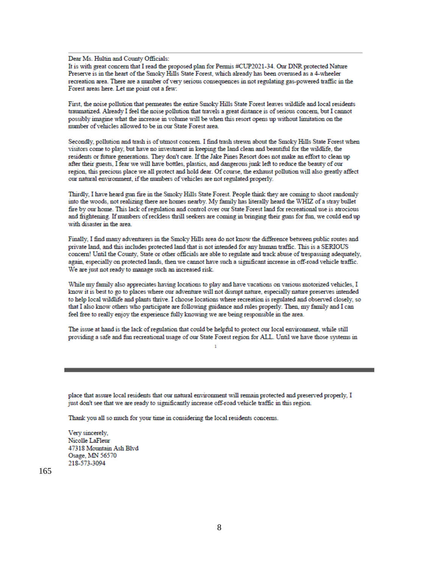Dear Ms. Hultin and County Officials:

It is with great concern that I read the proposed plan for Permis #CUP2021-34. Our DNR protected Nature Preserve is in the heart of the Smoky Hills State Forest, which already has been overused as a 4-wheeler recreation area. There are a number of very serious consequences in not regulating gas-powered traffic in the Forest areas here. Let me point out a few:

First, the noise pollution that permeates the entire Smoky Hills State Forest leaves wildlife and local residents traumatized. Already I feel the noise pollution that travels a great distance is of serious concern, but I cannot possibly imagine what the increase in volume will be when this resort opens up without limitation on the number of vehicles allowed to be in our State Forest area.

Secondly, pollution and trash is of utmost concern. I find trash strewn about the Smoky Hills State Forest when visitors come to play, but have no investment in keeping the land clean and beautiful for the wildlife, the residents or future generations. They don't care. If the Jake Pines Resort does not make an effort to clean up after their guests, I fear we will have bottles, plastics, and dangerous junk left to reduce the beauty of our region, this precious place we all protect and hold dear. Of course, the exhaust pollution will also greatly affect our natural environment, if the numbers of vehicles are not regulated properly.

Thirdly, I have heard gun fire in the Smoky Hills State Forest. People think they are coming to shoot randomly into the woods, not realizing there are homes nearby. My family has literally heard the WHIZ of a stray bullet fire by our home. This lack of regulation and control over our State Forest land for recreational use is atrocious and frightening. If numbers of reckless thrill seekers are coming in bringing their guns for fun, we could end up with disaster in the area.

Finally, I find many adventurers in the Smoky Hills area do not know the difference between public routes and private land, and this includes protected land that is not intended for any human traffic. This is a SERIOUS concern! Until the County, State or other officials are able to regulate and track abuse of trespassing adequately, again, especially on protected lands, then we cannot have such a significant increase in off-road vehicle traffic. We are just not ready to manage such an increased risk.

While my family also appreciates having locations to play and have vacations on various motorized vehicles, I know it is best to go to places where our adventure will not disrupt nature, especially nature preserves intended to help local wildlife and plants thrive. I choose locations where recreation is regulated and observed closely, so that I also know others who participate are following guidance and rules properly. Then, my family and I can feel free to really enjoy the experience fully knowing we are being responsible in the area.

The issue at hand is the lack of regulation that could be helpful to protect our local environment, while still providing a safe and fun recreational usage of our State Forest region for ALL. Until we have those systems in  $\mathbf{I}$ 

place that assure local residents that our natural environment will remain protected and preserved properly, I just don't see that we are ready to significantly increase off-road vehicle traffic in this region.

Thank you all so much for your time in considering the local residents concerns.

Very sincerely, Nicolle LaFleur 47318 Mountain Ash Blvd Osage, MN 56570 218-573-3094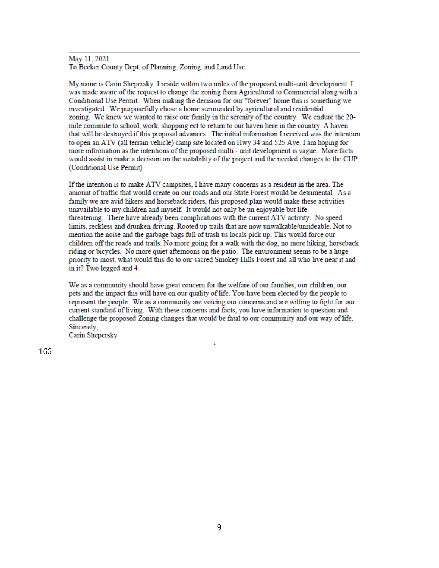## May 11, 2021

To Becker County Dept. of Planning, Zoning, and Land Use.

My name is Carin Shepersky. I reside within two miles of the proposed multi-unit development. I was made aware of the request to change the zoning from Agricultural to Commercial along with a Conditional Use Permit. When making the decision for our "forever" home this is something we investigated. We purposefully chose a home surrounded by agricultural and residential zoning. We knew we wanted to raise our family in the serenity of the country. We endure the 20mile commute to school, work, shopping ect to return to our haven here in the country. A haven that will be destroyed if this proposal advances. The initial information I received was the intention to open an ATV (all terrain vehicle) camp site located on Hwy 34 and 525 Ave. I am hoping for more information as the intentions of the proposed multi - unit development is vague. More facts would assist in make a decision on the suitability of the project and the needed changes to the CUP. (Conditional Use Permit)

If the intention is to make ATV campsites, I have many concerns as a resident in the area. The amount of traffic that would create on our roads and our State Forest would be detrimental. As a family we are avid hikers and horseback riders, this proposed plan would make these activities unavailable to my children and myself. It would not only be un enjoyable but life threatening. There have already been complications with the current ATV activity. No speed limits, reckless and drunken driving. Rooted up trails that are now unwalkable/unrideable. Not to mention the noise and the garbage bags full of trash us locals pick up. This would force our children off the roads and trails. No more going for a walk with the dog, no more hiking, horseback riding or bicycles. No more quiet afternoons on the patio. The environment seems to be a huge priority to most, what would this do to our sacred Smokey Hills Forest and all who live near it and in it? Two legged and 4.

We as a community should have great concern for the welfare of our families, our children, our pets and the impact this will have on our quality of life. You have been elected by the people to represent the people. We as a community are voicing our concerns and are willing to fight for our current standard of living. With these concerns and facts, you have information to question and challenge the proposed Zoning changes that would be fatal to our community and our way of life. Sincerely,

 $\mathbf 1$ 

Carin Shepersky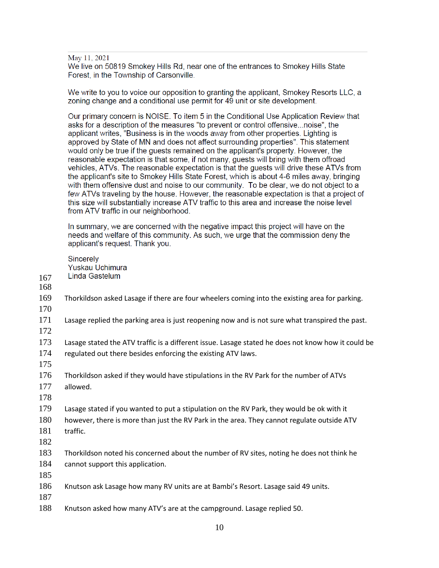May 11, 2021

We live on 50819 Smokey Hills Rd, near one of the entrances to Smokey Hills State Forest, in the Township of Carsonville.

We write to you to voice our opposition to granting the applicant. Smokey Resorts LLC, a zoning change and a conditional use permit for 49 unit or site development.

Our primary concern is NOISE. To item 5 in the Conditional Use Application Review that asks for a description of the measures "to prevent or control offensive...noise", the applicant writes, "Business is in the woods away from other properties. Lighting is approved by State of MN and does not affect surrounding properties". This statement would only be true if the guests remained on the applicant's property. However, the reasonable expectation is that some, if not many, quests will bring with them offroad vehicles, ATVs. The reasonable expectation is that the guests will drive these ATVs from the applicant's site to Smokey Hills State Forest, which is about 4-6 miles away, bringing with them offensive dust and noise to our community. To be clear, we do not object to a few ATVs traveling by the house. However, the reasonable expectation is that a project of this size will substantially increase ATV traffic to this area and increase the noise level from ATV traffic in our neighborhood.

In summary, we are concerned with the negative impact this project will have on the needs and welfare of this community. As such, we urge that the commission deny the applicant's request. Thank you.

Sincerely Yuskau Uchimura Linda Gastelum

- 167 168
- 169 Thorkildson asked Lasage if there are four wheelers coming into the existing area for parking.
- 170
- 171 Lasage replied the parking area is just reopening now and is not sure what transpired the past.
- 172
- 173 Lasage stated the ATV traffic is a different issue. Lasage stated he does not know how it could be 174 regulated out there besides enforcing the existing ATV laws.
- 175
- 176 Thorkildson asked if they would have stipulations in the RV Park for the number of ATVs 177 allowed.
- 178

179 Lasage stated if you wanted to put a stipulation on the RV Park, they would be ok with it

180 however, there is more than just the RV Park in the area. They cannot regulate outside ATV 181 traffic.

- 183 Thorkildson noted his concerned about the number of RV sites, noting he does not think he 184 cannot support this application.
- 185
- 186 Knutson ask Lasage how many RV units are at Bambi's Resort. Lasage said 49 units.
- 187
- 188 Knutson asked how many ATV's are at the campground. Lasage replied 50.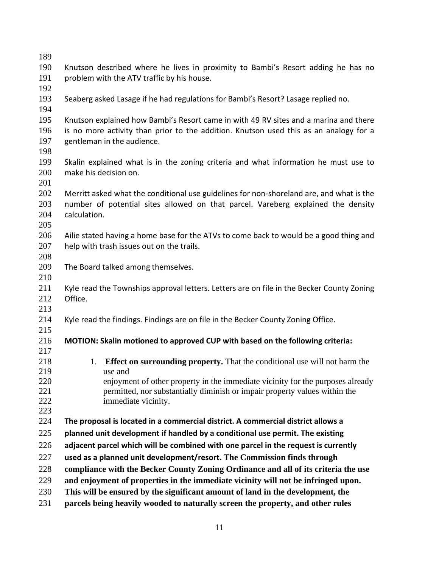| 189        |                                                                                           |  |
|------------|-------------------------------------------------------------------------------------------|--|
| 190        | Knutson described where he lives in proximity to Bambi's Resort adding he has no          |  |
| 191        | problem with the ATV traffic by his house.                                                |  |
| 192        |                                                                                           |  |
| 193        | Seaberg asked Lasage if he had regulations for Bambi's Resort? Lasage replied no.         |  |
| 194        |                                                                                           |  |
| 195        | Knutson explained how Bambi's Resort came in with 49 RV sites and a marina and there      |  |
| 196        | is no more activity than prior to the addition. Knutson used this as an analogy for a     |  |
| 197        | gentleman in the audience.                                                                |  |
| 198        |                                                                                           |  |
| 199        | Skalin explained what is in the zoning criteria and what information he must use to       |  |
| 200        | make his decision on.                                                                     |  |
| 201        |                                                                                           |  |
| 202        | Merritt asked what the conditional use guidelines for non-shoreland are, and what is the  |  |
| 203        | number of potential sites allowed on that parcel. Vareberg explained the density          |  |
| 204        | calculation.                                                                              |  |
| 205        |                                                                                           |  |
| 206        | Ailie stated having a home base for the ATVs to come back to would be a good thing and    |  |
| 207        | help with trash issues out on the trails.                                                 |  |
| 208        |                                                                                           |  |
| 209<br>210 | The Board talked among themselves.                                                        |  |
| 211        | Kyle read the Townships approval letters. Letters are on file in the Becker County Zoning |  |
| 212        | Office.                                                                                   |  |
| 213        |                                                                                           |  |
| 214        | Kyle read the findings. Findings are on file in the Becker County Zoning Office.          |  |
| 215        |                                                                                           |  |
| 216        | MOTION: Skalin motioned to approved CUP with based on the following criteria:             |  |
| 217        |                                                                                           |  |
| 218        | <b>Effect on surrounding property.</b> That the conditional use will not harm the<br>1.   |  |
| 219        | use and                                                                                   |  |
| 220        | enjoyment of other property in the immediate vicinity for the purposes already            |  |
| 221        | permitted, nor substantially diminish or impair property values within the                |  |
| 222        | immediate vicinity.                                                                       |  |
| 223        |                                                                                           |  |
| 224        | The proposal is located in a commercial district. A commercial district allows a          |  |
| 225        | planned unit development if handled by a conditional use permit. The existing             |  |
| 226        | adjacent parcel which will be combined with one parcel in the request is currently        |  |
| 227        | used as a planned unit development/resort. The Commission finds through                   |  |
| 228        | compliance with the Becker County Zoning Ordinance and all of its criteria the use        |  |
| 229        | and enjoyment of properties in the immediate vicinity will not be infringed upon.         |  |
| 230        | This will be ensured by the significant amount of land in the development, the            |  |
| 231        | parcels being heavily wooded to naturally screen the property, and other rules            |  |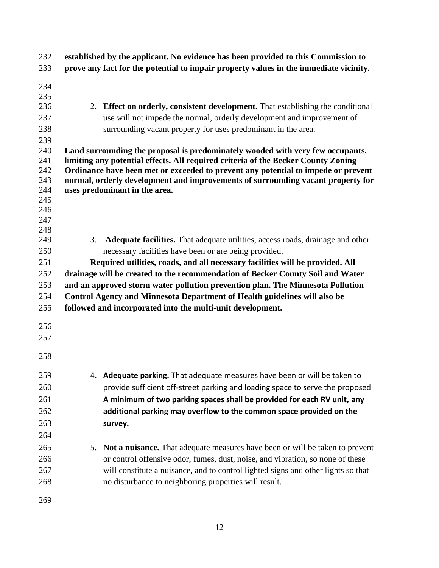| 232        | established by the applicant. No evidence has been provided to this Commission to |                                                                                       |
|------------|-----------------------------------------------------------------------------------|---------------------------------------------------------------------------------------|
| 233        |                                                                                   | prove any fact for the potential to impair property values in the immediate vicinity. |
| 234        |                                                                                   |                                                                                       |
| 235        |                                                                                   |                                                                                       |
| 236        |                                                                                   | 2. Effect on orderly, consistent development. That establishing the conditional       |
| 237        |                                                                                   | use will not impede the normal, orderly development and improvement of                |
| 238        |                                                                                   | surrounding vacant property for uses predominant in the area.                         |
| 239        |                                                                                   |                                                                                       |
| 240        |                                                                                   | Land surrounding the proposal is predominately wooded with very few occupants,        |
| 241        |                                                                                   | limiting any potential effects. All required criteria of the Becker County Zoning     |
| 242        |                                                                                   | Ordinance have been met or exceeded to prevent any potential to impede or prevent     |
| 243        |                                                                                   | normal, orderly development and improvements of surrounding vacant property for       |
| 244        |                                                                                   | uses predominant in the area.                                                         |
| 245        |                                                                                   |                                                                                       |
| 246<br>247 |                                                                                   |                                                                                       |
| 248        |                                                                                   |                                                                                       |
| 249        | 3.                                                                                | <b>Adequate facilities.</b> That adequate utilities, access roads, drainage and other |
| 250        |                                                                                   | necessary facilities have been or are being provided.                                 |
| 251        |                                                                                   | Required utilities, roads, and all necessary facilities will be provided. All         |
| 252        |                                                                                   | drainage will be created to the recommendation of Becker County Soil and Water        |
| 253        |                                                                                   | and an approved storm water pollution prevention plan. The Minnesota Pollution        |
| 254        |                                                                                   | Control Agency and Minnesota Department of Health guidelines will also be             |
| 255        |                                                                                   | followed and incorporated into the multi-unit development.                            |
|            |                                                                                   |                                                                                       |
| 256        |                                                                                   |                                                                                       |
| 257        |                                                                                   |                                                                                       |
| 258        |                                                                                   |                                                                                       |
|            |                                                                                   |                                                                                       |
| 259        |                                                                                   | 4. Adequate parking. That adequate measures have been or will be taken to             |
| 260        |                                                                                   | provide sufficient off-street parking and loading space to serve the proposed         |
| 261        |                                                                                   | A minimum of two parking spaces shall be provided for each RV unit, any               |
| 262        |                                                                                   | additional parking may overflow to the common space provided on the                   |
| 263        |                                                                                   | survey.                                                                               |
| 264        |                                                                                   |                                                                                       |
| 265        | 5.                                                                                | <b>Not a nuisance.</b> That adequate measures have been or will be taken to prevent   |
| 266        |                                                                                   | or control offensive odor, fumes, dust, noise, and vibration, so none of these        |
| 267        |                                                                                   | will constitute a nuisance, and to control lighted signs and other lights so that     |
| 268        |                                                                                   | no disturbance to neighboring properties will result.                                 |
|            |                                                                                   |                                                                                       |
| 269        |                                                                                   |                                                                                       |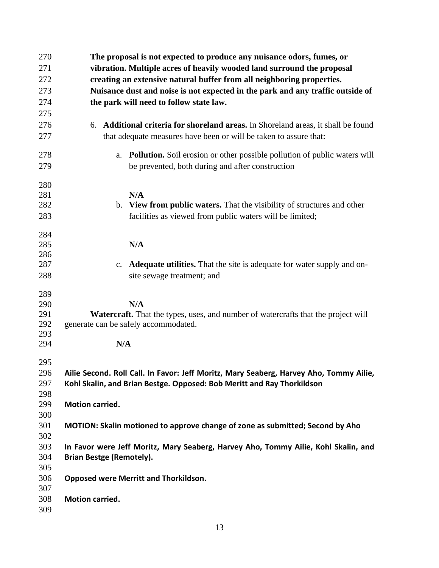| 270        | The proposal is not expected to produce any nuisance odors, fumes, or                           |  |  |
|------------|-------------------------------------------------------------------------------------------------|--|--|
| 271        | vibration. Multiple acres of heavily wooded land surround the proposal                          |  |  |
| 272        | creating an extensive natural buffer from all neighboring properties.                           |  |  |
| 273        | Nuisance dust and noise is not expected in the park and any traffic outside of                  |  |  |
| 274        | the park will need to follow state law.                                                         |  |  |
| 275        |                                                                                                 |  |  |
| 276        | Additional criteria for shoreland areas. In Shoreland areas, it shall be found<br>6.            |  |  |
| 277        | that adequate measures have been or will be taken to assure that:                               |  |  |
| 278        | <b>Pollution.</b> Soil erosion or other possible pollution of public waters will<br>a.          |  |  |
| 279        | be prevented, both during and after construction                                                |  |  |
| 280        |                                                                                                 |  |  |
| 281        | N/A                                                                                             |  |  |
| 282        | b. View from public waters. That the visibility of structures and other                         |  |  |
| 283        | facilities as viewed from public waters will be limited;                                        |  |  |
| 284        |                                                                                                 |  |  |
| 285        | N/A                                                                                             |  |  |
| 286        |                                                                                                 |  |  |
| 287        | <b>Adequate utilities.</b> That the site is adequate for water supply and on-<br>$\mathbf{c}$ . |  |  |
| 288        | site sewage treatment; and                                                                      |  |  |
| 289        |                                                                                                 |  |  |
| 290        | N/A                                                                                             |  |  |
| 291        | Watercraft. That the types, uses, and number of watercrafts that the project will               |  |  |
| 292<br>293 | generate can be safely accommodated.                                                            |  |  |
| 294        | N/A                                                                                             |  |  |
| 295        |                                                                                                 |  |  |
| 296        | Ailie Second. Roll Call. In Favor: Jeff Moritz, Mary Seaberg, Harvey Aho, Tommy Ailie,          |  |  |
| 297        | Kohl Skalin, and Brian Bestge. Opposed: Bob Meritt and Ray Thorkildson                          |  |  |
| 298        |                                                                                                 |  |  |
| 299        | Motion carried.                                                                                 |  |  |
| 300        |                                                                                                 |  |  |
| 301        | MOTION: Skalin motioned to approve change of zone as submitted; Second by Aho                   |  |  |
| 302        |                                                                                                 |  |  |
| 303        | In Favor were Jeff Moritz, Mary Seaberg, Harvey Aho, Tommy Ailie, Kohl Skalin, and              |  |  |
| 304        | <b>Brian Bestge (Remotely).</b>                                                                 |  |  |
| 305        |                                                                                                 |  |  |
| 306        | <b>Opposed were Merritt and Thorkildson.</b>                                                    |  |  |
| 307        |                                                                                                 |  |  |
| 308        | <b>Motion carried.</b>                                                                          |  |  |
| 309        |                                                                                                 |  |  |